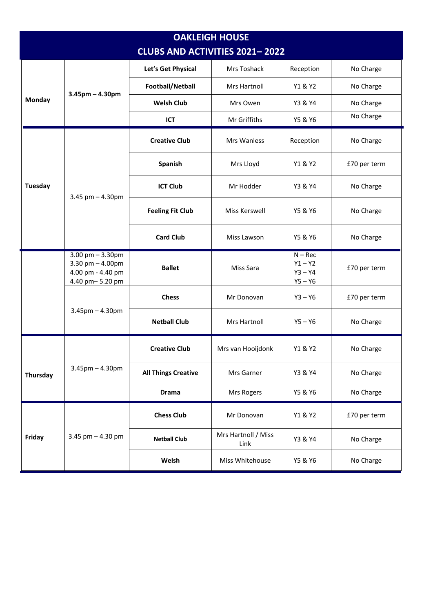| <b>OAKLEIGH HOUSE</b>                 |                                                                                     |                            |                             |                                                  |              |  |  |  |
|---------------------------------------|-------------------------------------------------------------------------------------|----------------------------|-----------------------------|--------------------------------------------------|--------------|--|--|--|
| <b>CLUBS AND ACTIVITIES 2021-2022</b> |                                                                                     |                            |                             |                                                  |              |  |  |  |
| <b>Monday</b>                         | $3.45$ pm - $4.30$ pm                                                               | Let's Get Physical         | Mrs Toshack                 | Reception                                        | No Charge    |  |  |  |
|                                       |                                                                                     | Football/Netball           | Mrs Hartnoll                | Y1 & Y2                                          | No Charge    |  |  |  |
|                                       |                                                                                     | <b>Welsh Club</b>          | Mrs Owen                    | Y3 & Y4                                          | No Charge    |  |  |  |
|                                       |                                                                                     | ICT                        | Mr Griffiths                | Y5 & Y6                                          | No Charge    |  |  |  |
| <b>Tuesday</b>                        | $3.45$ pm $- 4.30$ pm                                                               | <b>Creative Club</b>       | Mrs Wanless                 | Reception                                        | No Charge    |  |  |  |
|                                       |                                                                                     | Spanish                    | Mrs Lloyd                   | Y1 & Y2                                          | £70 per term |  |  |  |
|                                       |                                                                                     | <b>ICT Club</b>            | Mr Hodder                   | Y3 & Y4                                          | No Charge    |  |  |  |
|                                       |                                                                                     | <b>Feeling Fit Club</b>    | Miss Kerswell               | Y5 & Y6                                          | No Charge    |  |  |  |
|                                       |                                                                                     | <b>Card Club</b>           | Miss Lawson                 | Y5 & Y6                                          | No Charge    |  |  |  |
|                                       | $3.00$ pm $- 3.30$ pm<br>3.30 pm $-$ 4.00pm<br>4.00 pm - 4.40 pm<br>4.40 pm-5.20 pm | <b>Ballet</b>              | Miss Sara                   | $N - Rec$<br>$Y1 - Y2$<br>$Y3 - Y4$<br>$Y5 - Y6$ | £70 per term |  |  |  |
|                                       | $3.45$ pm $- 4.30$ pm                                                               | <b>Chess</b>               | Mr Donovan                  | $Y3 - Y6$                                        | £70 per term |  |  |  |
|                                       |                                                                                     | <b>Netball Club</b>        | Mrs Hartnoll                | $Y5 - Y6$                                        | No Charge    |  |  |  |
| Thursday                              | $3.45$ pm $- 4.30$ pm                                                               | <b>Creative Club</b>       | Mrs van Hooijdonk           | Y1 & Y2                                          | No Charge    |  |  |  |
|                                       |                                                                                     | <b>All Things Creative</b> | Mrs Garner                  | Y3 & Y4                                          | No Charge    |  |  |  |
|                                       |                                                                                     | <b>Drama</b>               | Mrs Rogers                  | Y5 & Y6                                          | No Charge    |  |  |  |
| Friday                                | 3.45 $pm - 4.30$ pm                                                                 | <b>Chess Club</b>          | Mr Donovan                  | Y1 & Y2                                          | £70 per term |  |  |  |
|                                       |                                                                                     | <b>Netball Club</b>        | Mrs Hartnoll / Miss<br>Link | Y3 & Y4                                          | No Charge    |  |  |  |
|                                       |                                                                                     | Welsh                      | Miss Whitehouse             | Y5 & Y6                                          | No Charge    |  |  |  |